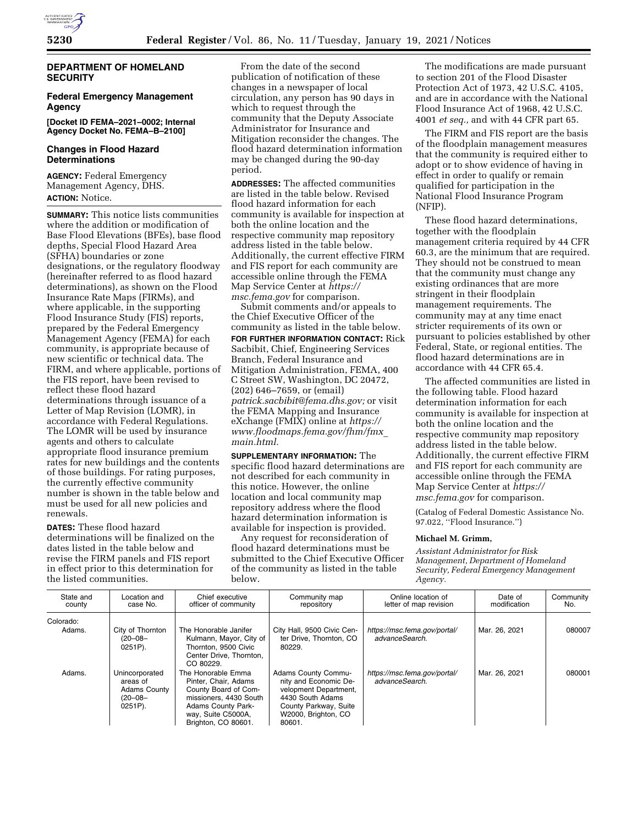

## **DEPARTMENT OF HOMELAND SECURITY**

## **Federal Emergency Management Agency**

**[Docket ID FEMA–2021–0002; Internal Agency Docket No. FEMA–B–2100]** 

# **Changes in Flood Hazard Determinations**

**AGENCY:** Federal Emergency Management Agency, DHS. **ACTION:** Notice.

**SUMMARY:** This notice lists communities where the addition or modification of Base Flood Elevations (BFEs), base flood depths, Special Flood Hazard Area (SFHA) boundaries or zone designations, or the regulatory floodway (hereinafter referred to as flood hazard determinations), as shown on the Flood Insurance Rate Maps (FIRMs), and where applicable, in the supporting Flood Insurance Study (FIS) reports, prepared by the Federal Emergency Management Agency (FEMA) for each community, is appropriate because of new scientific or technical data. The FIRM, and where applicable, portions of the FIS report, have been revised to reflect these flood hazard determinations through issuance of a Letter of Map Revision (LOMR), in accordance with Federal Regulations. The LOMR will be used by insurance agents and others to calculate appropriate flood insurance premium rates for new buildings and the contents of those buildings. For rating purposes, the currently effective community number is shown in the table below and must be used for all new policies and renewals.

**DATES:** These flood hazard determinations will be finalized on the dates listed in the table below and revise the FIRM panels and FIS report in effect prior to this determination for the listed communities.

From the date of the second publication of notification of these changes in a newspaper of local circulation, any person has 90 days in which to request through the community that the Deputy Associate Administrator for Insurance and Mitigation reconsider the changes. The flood hazard determination information may be changed during the 90-day period.

**ADDRESSES:** The affected communities are listed in the table below. Revised flood hazard information for each community is available for inspection at both the online location and the respective community map repository address listed in the table below. Additionally, the current effective FIRM and FIS report for each community are accessible online through the FEMA Map Service Center at *[https://](https://msc.fema.gov) [msc.fema.gov](https://msc.fema.gov)* for comparison.

Submit comments and/or appeals to the Chief Executive Officer of the community as listed in the table below. **FOR FURTHER INFORMATION CONTACT:** Rick Sacbibit, Chief, Engineering Services Branch, Federal Insurance and Mitigation Administration, FEMA, 400 C Street SW, Washington, DC 20472, (202) 646–7659, or (email) *[patrick.sacbibit@fema.dhs.gov;](mailto:patrick.sacbibit@fema.dhs.gov)* or visit the FEMA Mapping and Insurance eXchange (FMIX) online at *[https://](https://www.floodmaps.fema.gov/fhm/fmx_main.html) [www.floodmaps.fema.gov/fhm/fmx](https://www.floodmaps.fema.gov/fhm/fmx_main.html)*\_ *[main.html.](https://www.floodmaps.fema.gov/fhm/fmx_main.html)* 

**SUPPLEMENTARY INFORMATION:** The specific flood hazard determinations are not described for each community in this notice. However, the online location and local community map repository address where the flood hazard determination information is available for inspection is provided.

Any request for reconsideration of flood hazard determinations must be submitted to the Chief Executive Officer of the community as listed in the table below.

The modifications are made pursuant to section 201 of the Flood Disaster Protection Act of 1973, 42 U.S.C. 4105, and are in accordance with the National Flood Insurance Act of 1968, 42 U.S.C. 4001 *et seq.,* and with 44 CFR part 65.

The FIRM and FIS report are the basis of the floodplain management measures that the community is required either to adopt or to show evidence of having in effect in order to qualify or remain qualified for participation in the National Flood Insurance Program (NFIP).

These flood hazard determinations, together with the floodplain management criteria required by 44 CFR 60.3, are the minimum that are required. They should not be construed to mean that the community must change any existing ordinances that are more stringent in their floodplain management requirements. The community may at any time enact stricter requirements of its own or pursuant to policies established by other Federal, State, or regional entities. The flood hazard determinations are in accordance with 44 CFR 65.4.

The affected communities are listed in the following table. Flood hazard determination information for each community is available for inspection at both the online location and the respective community map repository address listed in the table below. Additionally, the current effective FIRM and FIS report for each community are accessible online through the FEMA Map Service Center at *[https://](https://msc.fema.gov) [msc.fema.gov](https://msc.fema.gov)* for comparison.

(Catalog of Federal Domestic Assistance No. 97.022, ''Flood Insurance.'')

#### **Michael M. Grimm,**

*Assistant Administrator for Risk Management, Department of Homeland Security, Federal Emergency Management Agency.* 

| State and<br>county | Location and<br>case No.                                                        | Chief executive<br>officer of community                                                                                                                                | Community map<br>repository                                                                                                                                | Online location of<br>letter of map revision   | Date of<br>modification | Community<br>No. |
|---------------------|---------------------------------------------------------------------------------|------------------------------------------------------------------------------------------------------------------------------------------------------------------------|------------------------------------------------------------------------------------------------------------------------------------------------------------|------------------------------------------------|-------------------------|------------------|
| Colorado:           |                                                                                 |                                                                                                                                                                        |                                                                                                                                                            |                                                |                         |                  |
| Adams.              | City of Thornton<br>$(20 - 08 -$<br>$0251P$ ).                                  | The Honorable Janifer<br>Kulmann, Mayor, City of<br>Thornton, 9500 Civic<br>Center Drive, Thornton.<br>CO 80229.                                                       | City Hall, 9500 Civic Cen-<br>ter Drive. Thornton. CO<br>80229.                                                                                            | https://msc.fema.gov/portal/<br>advanceSearch. | Mar. 26, 2021           | 080007           |
| Adams.              | Unincorporated<br>areas of<br><b>Adams County</b><br>$(20 - 08 -$<br>$0251P$ ). | The Honorable Emma<br>Pinter, Chair, Adams<br>County Board of Com-<br>missioners, 4430 South<br><b>Adams County Park-</b><br>way, Suite C5000A,<br>Brighton, CO 80601. | <b>Adams County Commu-</b><br>nity and Economic De-<br>velopment Department,<br>4430 South Adams<br>County Parkway, Suite<br>W2000, Brighton, CO<br>80601. | https://msc.fema.gov/portal/<br>advanceSearch. | Mar. 26, 2021           | 080001           |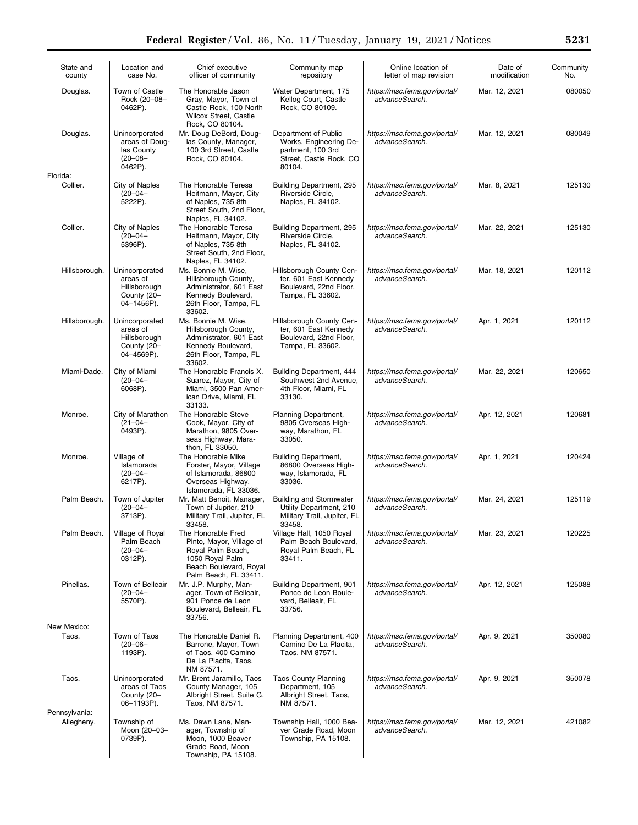| State and<br>county         | Location and<br>case No.                                                  | Chief executive<br>officer of community                                                                                                   | Community map<br>repository                                                                              | Online location of<br>letter of map revision   | Date of<br>modification | Community<br>No. |
|-----------------------------|---------------------------------------------------------------------------|-------------------------------------------------------------------------------------------------------------------------------------------|----------------------------------------------------------------------------------------------------------|------------------------------------------------|-------------------------|------------------|
| Douglas.                    | Town of Castle<br>Rock (20-08-<br>0462P).                                 | The Honorable Jason<br>Gray, Mayor, Town of<br>Castle Rock, 100 North<br>Wilcox Street, Castle<br>Rock, CO 80104.                         | Water Department, 175<br>Kellog Court, Castle<br>Rock, CO 80109.                                         | https://msc.fema.gov/portal/<br>advanceSearch. | Mar. 12, 2021           | 080050           |
| Douglas.<br>Florida:        | Unincorporated<br>areas of Doug-<br>las County<br>$(20 - 08 -$<br>0462P). | Mr. Doug DeBord, Doug-<br>las County, Manager,<br>100 3rd Street, Castle<br>Rock, CO 80104.                                               | Department of Public<br>Works, Engineering De-<br>partment, 100 3rd<br>Street, Castle Rock, CO<br>80104. | https://msc.fema.gov/portal/<br>advanceSearch. | Mar. 12, 2021           | 080049           |
| Collier.                    | City of Naples<br>$(20 - 04 -$<br>5222P).                                 | The Honorable Teresa<br>Heitmann, Mayor, City<br>of Naples, 735 8th<br>Street South, 2nd Floor,<br>Naples, FL 34102.                      | Building Department, 295<br>Riverside Circle,<br>Naples, FL 34102.                                       | https://msc.fema.gov/portal/<br>advanceSearch. | Mar. 8, 2021            | 125130           |
| Collier.                    | City of Naples<br>$(20 - 04 -$<br>5396P).                                 | The Honorable Teresa<br>Heitmann, Mayor, City<br>of Naples, 735 8th<br>Street South, 2nd Floor,<br>Naples, FL 34102.                      | Building Department, 295<br>Riverside Circle,<br>Naples, FL 34102.                                       | https://msc.fema.gov/portal/<br>advanceSearch. | Mar. 22, 2021           | 125130           |
| Hillsborough.               | Unincorporated<br>areas of<br>Hillsborough<br>County (20-<br>04-1456P).   | Ms. Bonnie M. Wise,<br>Hillsborough County,<br>Administrator, 601 East<br>Kennedy Boulevard,<br>26th Floor, Tampa, FL<br>33602.           | Hillsborough County Cen-<br>ter, 601 East Kennedy<br>Boulevard, 22nd Floor,<br>Tampa, FL 33602.          | https://msc.fema.gov/portal/<br>advanceSearch. | Mar. 18, 2021           | 120112           |
| Hillsborough.               | Unincorporated<br>areas of<br>Hillsborough<br>County (20-<br>04-4569P).   | Ms. Bonnie M. Wise,<br>Hillsborough County,<br>Administrator, 601 East<br>Kennedy Boulevard,<br>26th Floor, Tampa, FL<br>33602.           | Hillsborough County Cen-<br>ter, 601 East Kennedy<br>Boulevard, 22nd Floor,<br>Tampa, FL 33602.          | https://msc.fema.gov/portal/<br>advanceSearch. | Apr. 1, 2021            | 120112           |
| Miami-Dade.                 | City of Miami<br>$(20 - 04 -$<br>6068P).                                  | The Honorable Francis X.<br>Suarez, Mayor, City of<br>Miami, 3500 Pan Amer-<br>ican Drive, Miami, FL<br>33133.                            | Building Department, 444<br>Southwest 2nd Avenue,<br>4th Floor, Miami, FL<br>33130.                      | https://msc.fema.gov/portal/<br>advanceSearch. | Mar. 22, 2021           | 120650           |
| Monroe.                     | City of Marathon<br>$(21 - 04 -$<br>0493P).                               | The Honorable Steve<br>Cook, Mayor, City of<br>Marathon, 9805 Over-<br>seas Highway, Mara-<br>thon, FL 33050.                             | Planning Department,<br>9805 Overseas High-<br>way, Marathon, FL<br>33050.                               | https://msc.fema.gov/portal/<br>advanceSearch. | Apr. 12, 2021           | 120681           |
| Monroe.                     | Village of<br>Islamorada<br>$(20 - 04 -$<br>6217P).                       | The Honorable Mike<br>Forster, Mayor, Village<br>of Islamorada, 86800<br>Overseas Highway,<br>Islamorada, FL 33036.                       | <b>Building Department,</b><br>86800 Overseas High-<br>way, Islamorada, FL<br>33036.                     | https://msc.fema.gov/portal/<br>advanceSearch. | Apr. 1, 2021            | 120424           |
| Palm Beach.                 | Town of Jupiter<br>$(20 - 04 -$<br>3713P).                                | Mr. Matt Benoit, Manager,<br>Town of Jupiter, 210<br>Military Trail, Jupiter, FL<br>33458.                                                | <b>Building and Stormwater</b><br>Utility Department, 210<br>Military Trail, Jupiter, FL<br>33458.       | https://msc.fema.gov/portal/<br>advanceSearch. | Mar. 24, 2021           | 125119           |
| Palm Beach.                 | Village of Royal<br>Palm Beach<br>$(20 - 04 -$<br>0312P).                 | The Honorable Fred<br>Pinto, Mayor, Village of<br>Royal Palm Beach,<br>1050 Royal Palm<br>Beach Boulevard, Royal<br>Palm Beach, FL 33411. | Village Hall, 1050 Royal<br>Palm Beach Boulevard,<br>Royal Palm Beach, FL<br>33411.                      | https://msc.fema.gov/portal/<br>advanceSearch. | Mar. 23, 2021           | 120225           |
| Pinellas.                   | Town of Belleair<br>$(20 - 04 -$<br>5570P).                               | Mr. J.P. Murphy, Man-<br>ager, Town of Belleair,<br>901 Ponce de Leon<br>Boulevard, Belleair, FL<br>33756.                                | Building Department, 901<br>Ponce de Leon Boule-<br>vard, Belleair, FL<br>33756.                         | https://msc.fema.gov/portal/<br>advanceSearch. | Apr. 12, 2021           | 125088           |
| New Mexico:                 |                                                                           |                                                                                                                                           |                                                                                                          |                                                |                         |                  |
| Taos.                       | Town of Taos<br>$(20 - 06 -$<br>1193P).                                   | The Honorable Daniel R.<br>Barrone, Mayor, Town<br>of Taos, 400 Camino<br>De La Placita, Taos,<br>NM 87571.                               | Planning Department, 400<br>Camino De La Placita,<br>Taos, NM 87571.                                     | https://msc.fema.gov/portal/<br>advanceSearch. | Apr. 9, 2021            | 350080           |
| Taos.                       | Unincorporated<br>areas of Taos<br>County (20-<br>06-1193P).              | Mr. Brent Jaramillo, Taos<br>County Manager, 105<br>Albright Street, Suite G,<br>Taos, NM 87571.                                          | <b>Taos County Planning</b><br>Department, 105<br>Albright Street, Taos,<br>NM 87571.                    | https://msc.fema.gov/portal/<br>advanceSearch. | Apr. 9, 2021            | 350078           |
| Pennsylvania:<br>Allegheny. | Township of<br>Moon (20-03-<br>0739P).                                    | Ms. Dawn Lane, Man-<br>ager, Township of<br>Moon, 1000 Beaver<br>Grade Road, Moon<br>Township, PA 15108.                                  | Township Hall, 1000 Bea-<br>ver Grade Road, Moon<br>Township, PA 15108.                                  | https://msc.fema.gov/portal/<br>advanceSearch. | Mar. 12, 2021           | 421082           |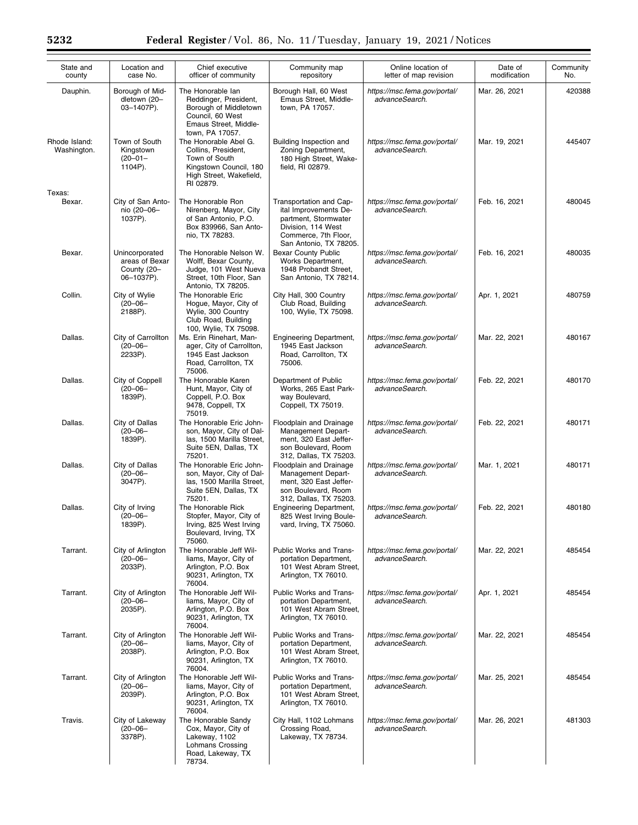| State and<br>county          | Location and<br>case No.                                      | Chief executive<br>officer of community                                                                                             | Community map<br>repository                                                                                                                      | Online location of<br>letter of map revision   | Date of<br>modification | Community<br>No. |
|------------------------------|---------------------------------------------------------------|-------------------------------------------------------------------------------------------------------------------------------------|--------------------------------------------------------------------------------------------------------------------------------------------------|------------------------------------------------|-------------------------|------------------|
| Dauphin.                     | Borough of Mid-<br>dletown (20-<br>03-1407P).                 | The Honorable lan<br>Reddinger, President,<br>Borough of Middletown<br>Council, 60 West<br>Emaus Street, Middle-<br>town, PA 17057. | Borough Hall, 60 West<br>Emaus Street, Middle-<br>town, PA 17057.                                                                                | https://msc.fema.gov/portal/<br>advanceSearch. | Mar. 26, 2021           | 420388           |
| Rhode Island:<br>Washington. | Town of South<br>Kingstown<br>$(20 - 01 -$<br>1104P).         | The Honorable Abel G.<br>Collins, President,<br>Town of South<br>Kingstown Council, 180<br>High Street, Wakefield,<br>RI 02879.     | Building Inspection and<br>Zoning Department,<br>180 High Street, Wake-<br>field, RI 02879.                                                      | https://msc.fema.gov/portal/<br>advanceSearch. | Mar. 19, 2021           | 445407           |
| Texas:                       |                                                               |                                                                                                                                     |                                                                                                                                                  |                                                |                         |                  |
| Bexar.                       | City of San Anto-<br>nio (20-06-<br>1037P).                   | The Honorable Ron<br>Nirenberg, Mayor, City<br>of San Antonio, P.O.<br>Box 839966, San Anto-<br>nio, TX 78283.                      | Transportation and Cap-<br>ital Improvements De-<br>partment, Stormwater<br>Division, 114 West<br>Commerce, 7th Floor,<br>San Antonio, TX 78205. | https://msc.fema.gov/portal/<br>advanceSearch. | Feb. 16, 2021           | 480045           |
| Bexar.                       | Unincorporated<br>areas of Bexar<br>County (20-<br>06-1037P). | The Honorable Nelson W.<br>Wolff, Bexar County,<br>Judge, 101 West Nueva<br>Street, 10th Floor, San<br>Antonio, TX 78205.           | <b>Bexar County Public</b><br>Works Department,<br>1948 Probandt Street,<br>San Antonio, TX 78214.                                               | https://msc.fema.gov/portal/<br>advanceSearch. | Feb. 16, 2021           | 480035           |
| Collin.                      | City of Wylie<br>$(20 - 06 -$<br>2188P).                      | The Honorable Eric<br>Hogue, Mayor, City of<br>Wylie, 300 Country<br>Club Road, Building<br>100, Wylie, TX 75098.                   | City Hall, 300 Country<br>Club Road, Building<br>100, Wylie, TX 75098.                                                                           | https://msc.fema.gov/portal/<br>advanceSearch. | Apr. 1, 2021            | 480759           |
| Dallas.                      | City of Carrollton<br>$(20 - 06 -$<br>2233P).                 | Ms. Erin Rinehart, Man-<br>ager, City of Carrollton,<br>1945 East Jackson<br>Road, Carrollton, TX<br>75006.                         | <b>Engineering Department,</b><br>1945 East Jackson<br>Road, Carrollton, TX<br>75006.                                                            | https://msc.fema.gov/portal/<br>advanceSearch. | Mar. 22, 2021           | 480167           |
| Dallas.                      | City of Coppell<br>$(20 - 06 -$<br>1839P).                    | The Honorable Karen<br>Hunt, Mayor, City of<br>Coppell, P.O. Box<br>9478, Coppell, TX<br>75019.                                     | Department of Public<br>Works, 265 East Park-<br>way Boulevard,<br>Coppell, TX 75019.                                                            | https://msc.fema.gov/portal/<br>advanceSearch. | Feb. 22, 2021           | 480170           |
| Dallas.                      | City of Dallas<br>$(20 - 06 -$<br>1839P).                     | The Honorable Eric John-<br>son, Mayor, City of Dal-<br>las, 1500 Marilla Street,<br>Suite 5EN, Dallas, TX<br>75201.                | Floodplain and Drainage<br>Management Depart-<br>ment, 320 East Jeffer-<br>son Boulevard, Room<br>312, Dallas, TX 75203.                         | https://msc.fema.gov/portal/<br>advanceSearch. | Feb. 22, 2021           | 480171           |
| Dallas.                      | City of Dallas<br>$(20 - 06 -$<br>3047P).                     | The Honorable Eric John-<br>son, Mayor, City of Dal-<br>las, 1500 Marilla Street,<br>Suite 5EN, Dallas, TX<br>75201.                | Floodplain and Drainage<br>Management Depart-<br>ment, 320 East Jeffer-<br>son Boulevard, Room<br>312, Dallas, TX 75203.                         | https://msc.fema.gov/portal/<br>advanceSearch. | Mar. 1, 2021            | 480171           |
| Dallas.                      | City of Irving<br>(20–06–<br>1839P).                          | The Honorable Rick<br>Stopfer, Mayor, City of<br>Irving, 825 West Irving<br>Boulevard, Irving, TX<br>75060.                         | <b>Engineering Department,</b><br>825 West Irving Boule-<br>vard, Irving, TX 75060.                                                              | https://msc.fema.gov/portal/<br>advanceSearch. | Feb. 22, 2021           | 480180           |
| Tarrant.                     | City of Arlington<br>$(20 - 06 -$<br>2033P).                  | The Honorable Jeff Wil-<br>liams, Mayor, City of<br>Arlington, P.O. Box<br>90231, Arlington, TX<br>76004.                           | Public Works and Trans-<br>portation Department,<br>101 West Abram Street,<br>Arlington, TX 76010.                                               | https://msc.fema.gov/portal/<br>advanceSearch. | Mar. 22, 2021           | 485454           |
| Tarrant.                     | City of Arlington<br>$(20 - 06 -$<br>2035P).                  | The Honorable Jeff Wil-<br>liams, Mayor, City of<br>Arlington, P.O. Box<br>90231, Arlington, TX<br>76004.                           | Public Works and Trans-<br>portation Department,<br>101 West Abram Street,<br>Arlington, TX 76010.                                               | https://msc.fema.gov/portal/<br>advanceSearch. | Apr. 1, 2021            | 485454           |
| Tarrant.                     | City of Arlington<br>$(20 - 06 -$<br>2038P).                  | The Honorable Jeff Wil-<br>liams, Mayor, City of<br>Arlington, P.O. Box<br>90231, Arlington, TX<br>76004.                           | Public Works and Trans-<br>portation Department,<br>101 West Abram Street,<br>Arlington, TX 76010.                                               | https://msc.fema.gov/portal/<br>advanceSearch. | Mar. 22, 2021           | 485454           |
| Tarrant.                     | City of Arlington<br>$(20 - 06 -$<br>2039P).                  | The Honorable Jeff Wil-<br>liams, Mayor, City of<br>Arlington, P.O. Box<br>90231, Arlington, TX<br>76004.                           | Public Works and Trans-<br>portation Department,<br>101 West Abram Street,<br>Arlington, TX 76010.                                               | https://msc.fema.gov/portal/<br>advanceSearch. | Mar. 25, 2021           | 485454           |
| Travis.                      | City of Lakeway<br>$(20 - 06 -$<br>3378P).                    | The Honorable Sandy<br>Cox, Mayor, City of<br>Lakeway, 1102<br>Lohmans Crossing<br>Road, Lakeway, TX<br>78734.                      | City Hall, 1102 Lohmans<br>Crossing Road,<br>Lakeway, TX 78734.                                                                                  | https://msc.fema.gov/portal/<br>advanceSearch. | Mar. 26, 2021           | 481303           |